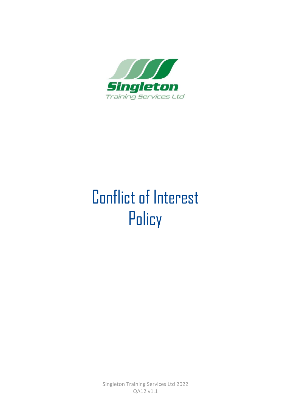

# Conflict of Interest **Policy**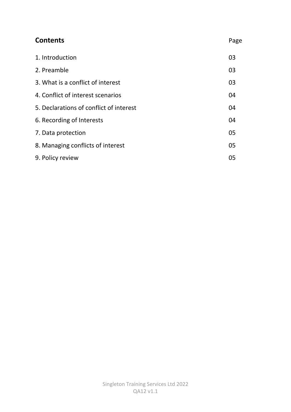| <b>Contents</b>                         | Page |
|-----------------------------------------|------|
| 1. Introduction                         | 03   |
| 2. Preamble                             | 03   |
| 3. What is a conflict of interest       | 03   |
| 4. Conflict of interest scenarios       | 04   |
| 5. Declarations of conflict of interest | 04   |
| 6. Recording of Interests               | 04   |
| 7. Data protection                      | 05   |
| 8. Managing conflicts of interest       | 05   |
| 9. Policy review                        | 05   |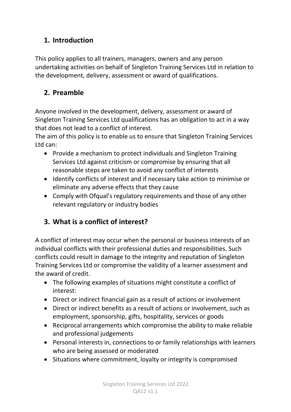#### **1. Introduction**

This policy applies to all trainers, managers, owners and any person undertaking activities on behalf of Singleton Training Services Ltd in relation to the development, delivery, assessment or award of qualifications.

### **2. Preamble**

Anyone involved in the development, delivery, assessment or award of Singleton Training Services Ltd qualifications has an obligation to act in a way that does not lead to a conflict of interest.

The aim of this policy is to enable us to ensure that Singleton Training Services Ltd can:

- Provide a mechanism to protect individuals and Singleton Training Services Ltd against criticism or compromise by ensuring that all reasonable steps are taken to avoid any conflict of interests
- Identify conflicts of interest and if necessary take action to minimise or eliminate any adverse effects that they cause
- Comply with Ofqual's regulatory requirements and those of any other relevant regulatory or industry bodies

### **3. What is a conflict of interest?**

A conflict of interest may occur when the personal or business interests of an individual conflicts with their professional duties and responsibilities. Such conflicts could result in damage to the integrity and reputation of Singleton Training Services Ltd or compromise the validity of a learner assessment and the award of credit.

- The following examples of situations might constitute a conflict of interest:
- Direct or indirect financial gain as a result of actions or involvement
- Direct or indirect benefits as a result of actions or involvement, such as employment, sponsorship, gifts, hospitality, services or goods
- Reciprocal arrangements which compromise the ability to make reliable and professional judgements
- Personal interests in, connections to or family relationships with learners who are being assessed or moderated
- Situations where commitment, loyalty or integrity is compromised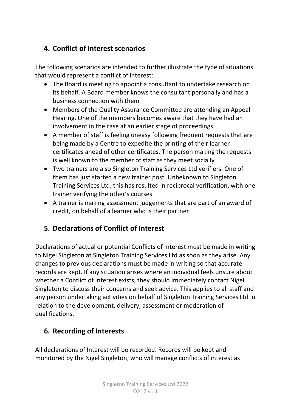## **4. Conflict of interest scenarios**

The following scenarios are intended to further illustrate the type of situations that would represent a conflict of interest:

- The Board is meeting to appoint a consultant to undertake research on its behalf. A Board member knows the consultant personally and has a business connection with them
- Members of the Quality Assurance Committee are attending an Appeal Hearing. One of the members becomes aware that they have had an involvement in the case at an earlier stage of proceedings
- A member of staff is feeling uneasy following frequent requests that are being made by a Centre to expedite the printing of their learner certificates ahead of other certificates. The person making the requests is well known to the member of staff as they meet socially
- Two trainers are also Singleton Training Services Ltd verifiers. One of them has just started a new trainer post. Unbeknown to Singleton Training Services Ltd, this has resulted in reciprocal verification, with one trainer verifying the other's courses
- A trainer is making assessment judgements that are part of an award of credit, on behalf of a learner who is their partner

### **5. Declarations of Conflict of Interest**

Declarations of actual or potential Conflicts of Interest must be made in writing to Nigel Singleton at Singleton Training Services Ltd as soon as they arise. Any changes to previous declarations must be made in writing so that accurate records are kept. If any situation arises where an individual feels unsure about whether a Conflict of Interest exists, they should immediately contact Nigel Singleton to discuss their concerns and seek advice. This applies to all staff and any person undertaking activities on behalf of Singleton Training Services Ltd in relation to the development, delivery, assessment or moderation of qualifications.

### **6. Recording of Interests**

All declarations of Interest will be recorded. Records will be kept and monitored by the Nigel Singleton, who will manage conflicts of interest as